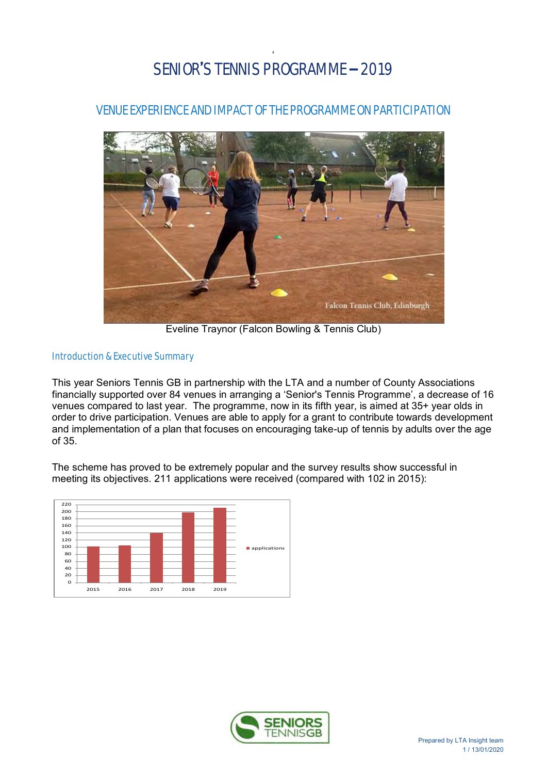# ' SENIOR'S TENNIS PROGRAMME – 2019

VENUE EXPERIENCE AND IMPACT OF THE PROGRAMME ON PARTICIPATION



Eveline Traynor (Falcon Bowling & Tennis Club)

# Introduction & Executive Summary

This year Seniors Tennis GB in partnership with the LTA and a number of County Associations financially supported over 84 venues in arranging a 'Senior's Tennis Programme', a decrease of 16 venues compared to last year. The programme, now in its fifth year, is aimed at 35+ year olds in order to drive participation. Venues are able to apply for a grant to contribute towards development and implementation of a plan that focuses on encouraging take-up of tennis by adults over the age of 35.

The scheme has proved to be extremely popular and the survey results show successful in meeting its objectives. 211 applications were received (compared with 102 in 2015):



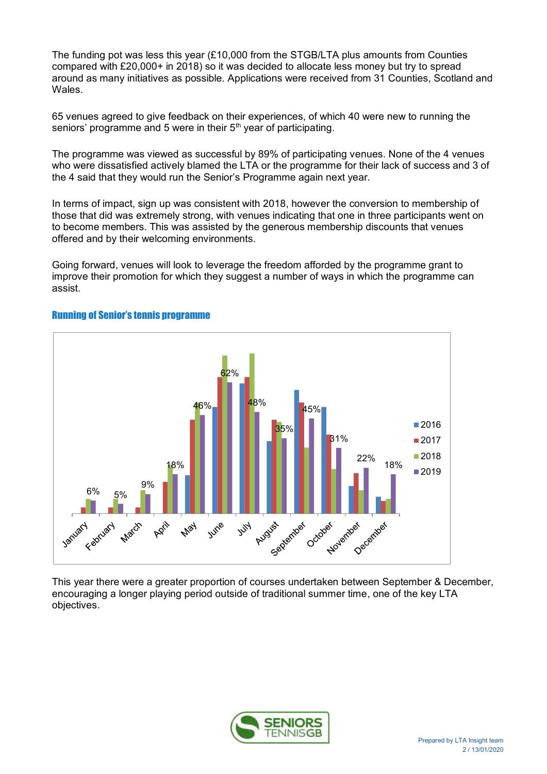The funding pot was less this year (£10,000 from the STGB/LTA plus amounts from Counties compared with £20,000+ in 2018) so it was decided to allocate less money but try to spread around as many initiatives as possible. Applications were received from 31 Counties, Scotland and Wales.

65 venues agreed to give feedback on their experiences, of which 40 were new to running the seniors' programme and 5 were in their 5<sup>th</sup> year of participating.

The programme was viewed as successful by 89% of participating venues. None of the 4 venues who were dissatisfied actively blamed the LTA or the programme for their lack of success and 3 of the 4 said that they would run the Senior's Programme again next year.

In terms of impact, sign up was consistent with 2018, however the conversion to membership of those that did was extremely strong, with venues indicating that one in three participants went on to become members. This was assisted by the generous membership discounts that venues offered and by their welcoming environments.

Going forward, venues will look to leverage the freedom afforded by the programme grant to improve their promotion for which they suggest a number of ways in which the programme can assist.



# Running of Senior's tennis programme

This year there were a greater proportion of courses undertaken between September & December, encouraging a longer playing period outside of traditional summer time, one of the key LTA objectives.

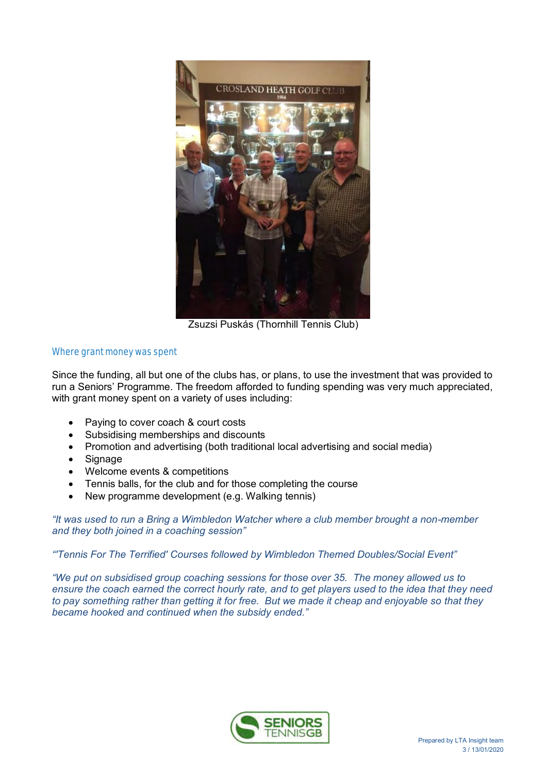

Zsuzsi Puskás (Thornhill Tennis Club)

# Where grant money was spent

Since the funding, all but one of the clubs has, or plans, to use the investment that was provided to run a Seniors' Programme. The freedom afforded to funding spending was very much appreciated, with grant money spent on a variety of uses including:

- Paying to cover coach & court costs
- Subsidising memberships and discounts
- Promotion and advertising (both traditional local advertising and social media)
- Signage
- Welcome events & competitions
- Tennis balls, for the club and for those completing the course
- New programme development (e.g. Walking tennis)

*"It was used to run a Bring a Wimbledon Watcher where a club member brought a non-member and they both joined in a coaching session"*

*"'Tennis For The Terrified' Courses followed by Wimbledon Themed Doubles/Social Event"*

*"We put on subsidised group coaching sessions for those over 35. The money allowed us to ensure the coach earned the correct hourly rate, and to get players used to the idea that they need to pay something rather than getting it for free. But we made it cheap and enjoyable so that they became hooked and continued when the subsidy ended."*

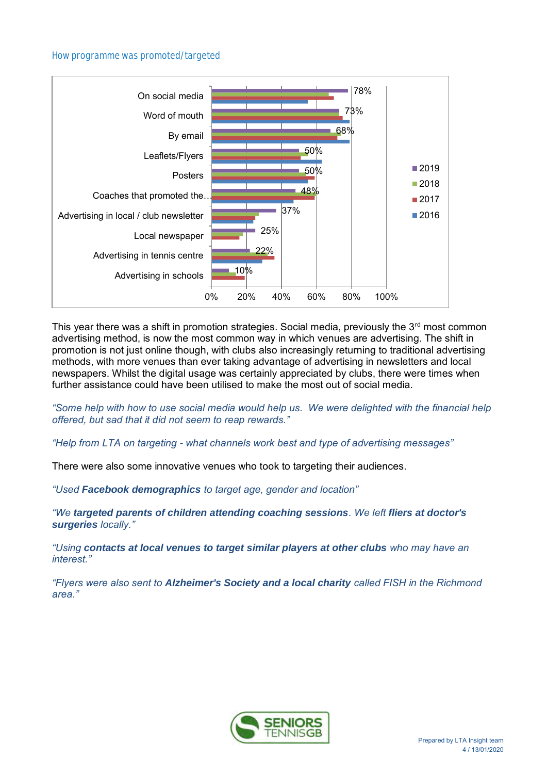## How programme was promoted/targeted



This year there was a shift in promotion strategies. Social media, previously the  $3<sup>rd</sup>$  most common advertising method, is now the most common way in which venues are advertising. The shift in promotion is not just online though, with clubs also increasingly returning to traditional advertising methods, with more venues than ever taking advantage of advertising in newsletters and local newspapers. Whilst the digital usage was certainly appreciated by clubs, there were times when further assistance could have been utilised to make the most out of social media.

*"Some help with how to use social media would help us. We were delighted with the financial help offered, but sad that it did not seem to reap rewards."*

*"Help from LTA on targeting - what channels work best and type of advertising messages"*

There were also some innovative venues who took to targeting their audiences.

*"Used Facebook demographics to target age, gender and location"*

*"We targeted parents of children attending coaching sessions. We left fliers at doctor's surgeries locally."*

*"Using contacts at local venues to target similar players at other clubs who may have an interest."*

*"Flyers were also sent to Alzheimer's Society and a local charity called FISH in the Richmond area."*

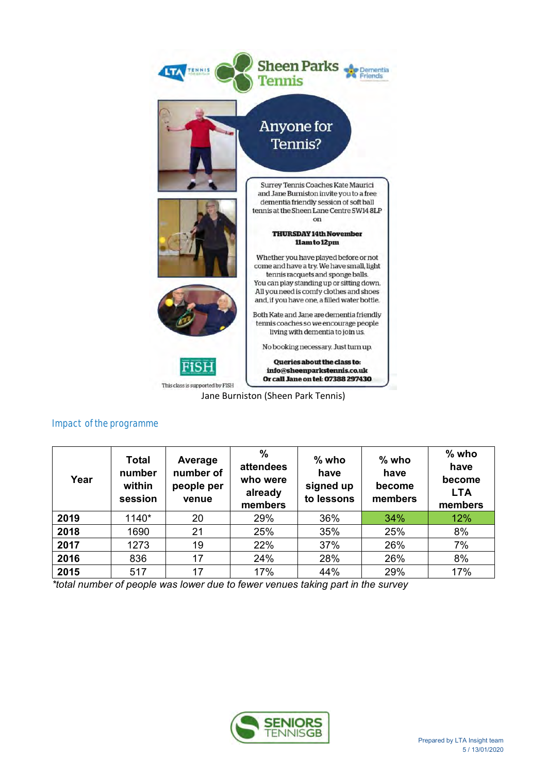

Jane Burniston (Sheen Park Tennis)

| Year | Total<br>number<br>within<br>session | Average<br>number of<br>people per<br>venue | %<br>attendees<br>who were<br>already<br>members | $%$ who<br>have<br>signed up<br>to lessons | $%$ who<br>have<br>become<br>members | $%$ who<br>have<br>become<br><b>LTA</b><br>members |
|------|--------------------------------------|---------------------------------------------|--------------------------------------------------|--------------------------------------------|--------------------------------------|----------------------------------------------------|
| 2019 | 1140*                                | 20                                          | 29%                                              | 36%                                        | 34%                                  | 12%                                                |
| 2018 | 1690                                 | 21                                          | 25%                                              | 35%                                        | 25%                                  | 8%                                                 |
| 2017 | 1273                                 | 19                                          | 22%                                              | 37%                                        | 26%                                  | 7%                                                 |
| 2016 | 836                                  | 17                                          | 24%                                              | 28%                                        | 26%                                  | 8%                                                 |
| 2015 | 517                                  | 17                                          | 17%                                              | 44%                                        | 29%                                  | 17%                                                |

Impact of the programme

*\*total number of people was lower due to fewer venues taking part in the survey*

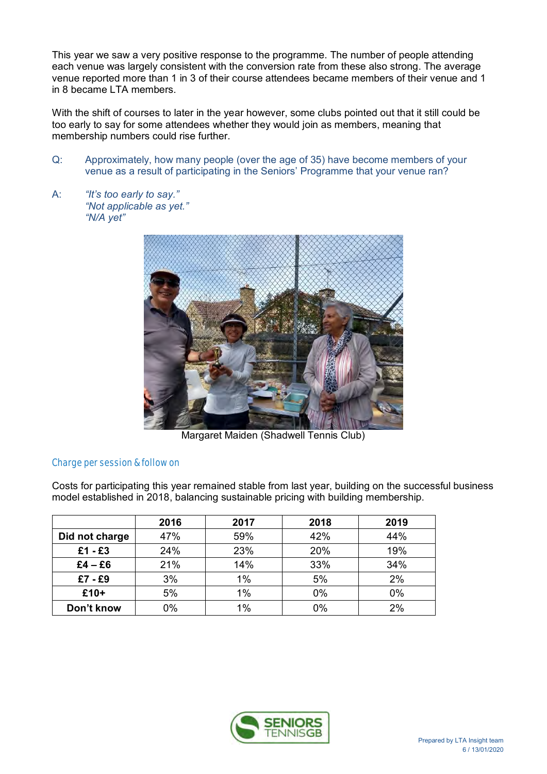This year we saw a very positive response to the programme. The number of people attending each venue was largely consistent with the conversion rate from these also strong. The average venue reported more than 1 in 3 of their course attendees became members of their venue and 1 in 8 became LTA members.

With the shift of courses to later in the year however, some clubs pointed out that it still could be too early to say for some attendees whether they would join as members, meaning that membership numbers could rise further.

- Q: Approximately, how many people (over the age of 35) have become members of your venue as a result of participating in the Seniors' Programme that your venue ran?
- A: *"It's too early to say." "Not applicable as yet." "N/A yet"*



Margaret Maiden (Shadwell Tennis Club)

# Charge per session & follow on

Costs for participating this year remained stable from last year, building on the successful business model established in 2018, balancing sustainable pricing with building membership.

|                | 2016 | 2017 | 2018 | 2019 |
|----------------|------|------|------|------|
| Did not charge | 47%  | 59%  | 42%  | 44%  |
| $£1 - £3$      | 24%  | 23%  | 20%  | 19%  |
| $£4 - £6$      | 21%  | 14%  | 33%  | 34%  |
| £7 - £9        | 3%   | 1%   | 5%   | 2%   |
| £10+           | 5%   | 1%   | 0%   | 0%   |
| Don't know     | 0%   | 1%   | 0%   | 2%   |

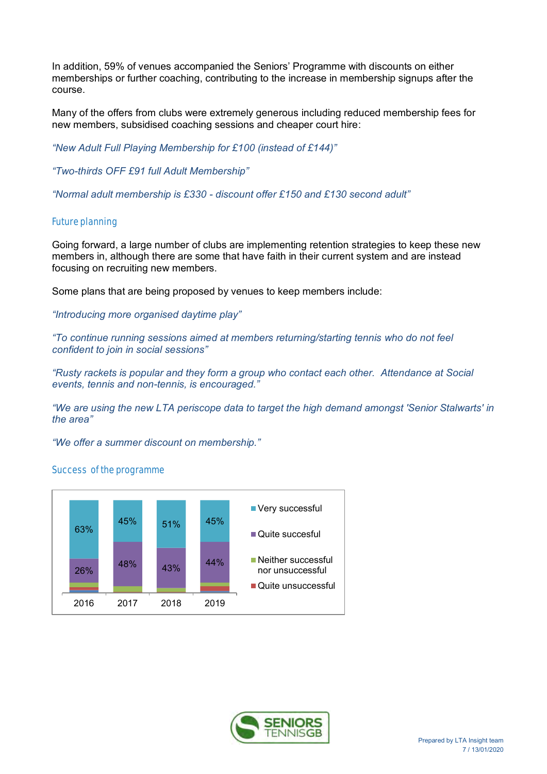In addition, 59% of venues accompanied the Seniors' Programme with discounts on either memberships or further coaching, contributing to the increase in membership signups after the course.

Many of the offers from clubs were extremely generous including reduced membership fees for new members, subsidised coaching sessions and cheaper court hire:

*"New Adult Full Playing Membership for £100 (instead of £144)"* 

*"Two-thirds OFF £91 full Adult Membership"*

*"Normal adult membership is £330 - discount offer £150 and £130 second adult"*

## Future planning

Going forward, a large number of clubs are implementing retention strategies to keep these new members in, although there are some that have faith in their current system and are instead focusing on recruiting new members.

Some plans that are being proposed by venues to keep members include:

*"Introducing more organised daytime play"*

*"To continue running sessions aimed at members returning/starting tennis who do not feel confident to join in social sessions"*

*"Rusty rackets is popular and they form a group who contact each other. Attendance at Social events, tennis and non-tennis, is encouraged."*

*"We are using the new LTA periscope data to target the high demand amongst 'Senior Stalwarts' in the area"*

*"We offer a summer discount on membership."*

# Success of the programme



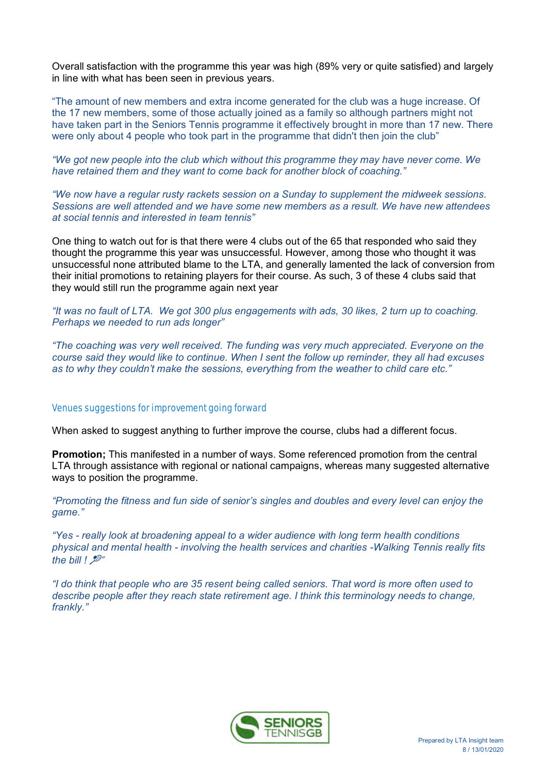Overall satisfaction with the programme this year was high (89% very or quite satisfied) and largely in line with what has been seen in previous years.

"The amount of new members and extra income generated for the club was a huge increase. Of the 17 new members, some of those actually joined as a family so although partners might not have taken part in the Seniors Tennis programme it effectively brought in more than 17 new. There were only about 4 people who took part in the programme that didn't then join the club"

*"We got new people into the club which without this programme they may have never come. We have retained them and they want to come back for another block of coaching."*

*"We now have a regular rusty rackets session on a Sunday to supplement the midweek sessions. Sessions are well attended and we have some new members as a result. We have new attendees at social tennis and interested in team tennis"*

One thing to watch out for is that there were 4 clubs out of the 65 that responded who said they thought the programme this year was unsuccessful. However, among those who thought it was unsuccessful none attributed blame to the LTA, and generally lamented the lack of conversion from their initial promotions to retaining players for their course. As such, 3 of these 4 clubs said that they would still run the programme again next year

*"It was no fault of LTA. We got 300 plus engagements with ads, 30 likes, 2 turn up to coaching. Perhaps we needed to run ads longer"*

*"The coaching was very well received. The funding was very much appreciated. Everyone on the course said they would like to continue. When I sent the follow up reminder, they all had excuses as to why they couldn't make the sessions, everything from the weather to child care etc."*

## Venues suggestions for improvement going forward

When asked to suggest anything to further improve the course, clubs had a different focus.

**Promotion;** This manifested in a number of ways. Some referenced promotion from the central LTA through assistance with regional or national campaigns, whereas many suggested alternative ways to position the programme.

*"Promoting the fitness and fun side of senior's singles and doubles and every level can enjoy the game."*

*"Yes - really look at broadening appeal to a wider audience with long term health conditions physical and mental health - involving the health services and charities -Walking Tennis really fits the bill !* "

*"I do think that people who are 35 resent being called seniors. That word is more often used to describe people after they reach state retirement age. I think this terminology needs to change, frankly."*

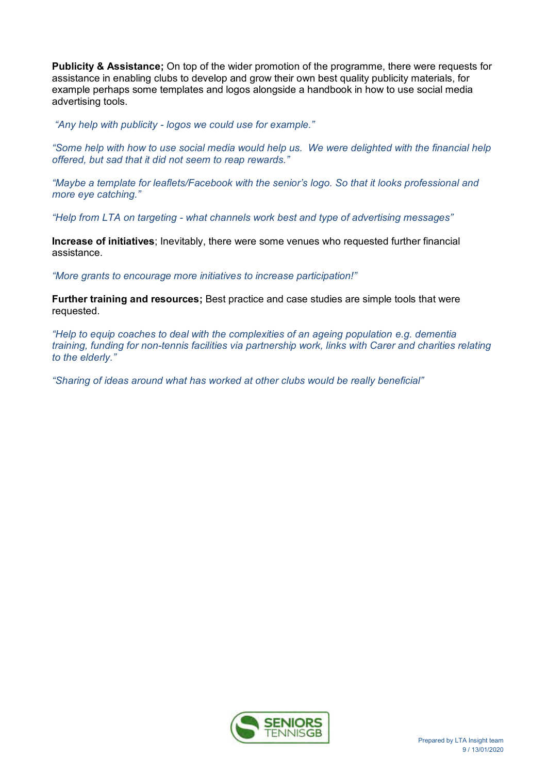**Publicity & Assistance;** On top of the wider promotion of the programme, there were requests for assistance in enabling clubs to develop and grow their own best quality publicity materials, for example perhaps some templates and logos alongside a handbook in how to use social media advertising tools.

*"Any help with publicity - logos we could use for example."*

*"Some help with how to use social media would help us. We were delighted with the financial help offered, but sad that it did not seem to reap rewards."*

*"Maybe a template for leaflets/Facebook with the senior's logo. So that it looks professional and more eye catching."*

*"Help from LTA on targeting - what channels work best and type of advertising messages"*

**Increase of initiatives**; Inevitably, there were some venues who requested further financial assistance.

*"More grants to encourage more initiatives to increase participation!"*

**Further training and resources;** Best practice and case studies are simple tools that were requested.

*"Help to equip coaches to deal with the complexities of an ageing population e.g. dementia training, funding for non-tennis facilities via partnership work, links with Carer and charities relating to the elderly."*

*"Sharing of ideas around what has worked at other clubs would be really beneficial"*

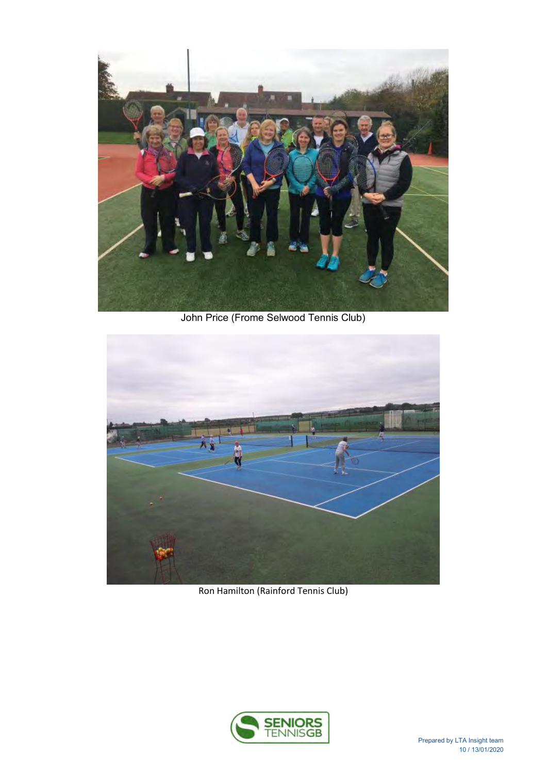

John Price (Frome Selwood Tennis Club)



Ron Hamilton (Rainford Tennis Club)

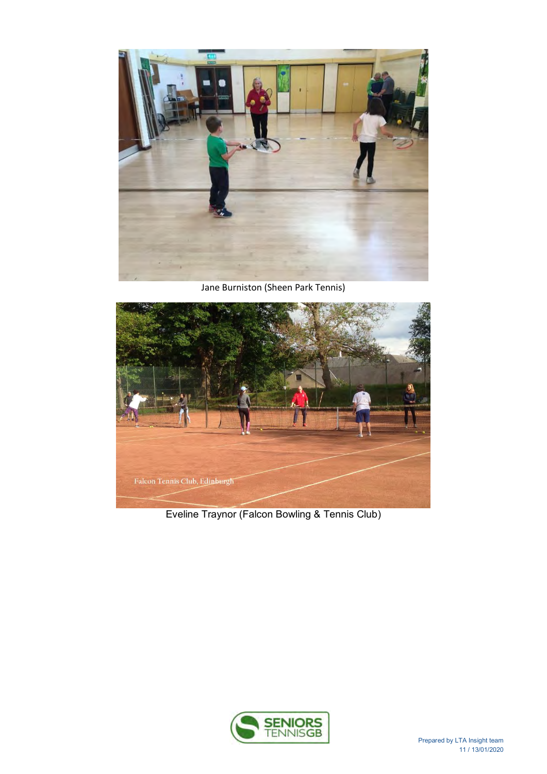

Jane Burniston (Sheen Park Tennis)



Eveline Traynor (Falcon Bowling & Tennis Club)